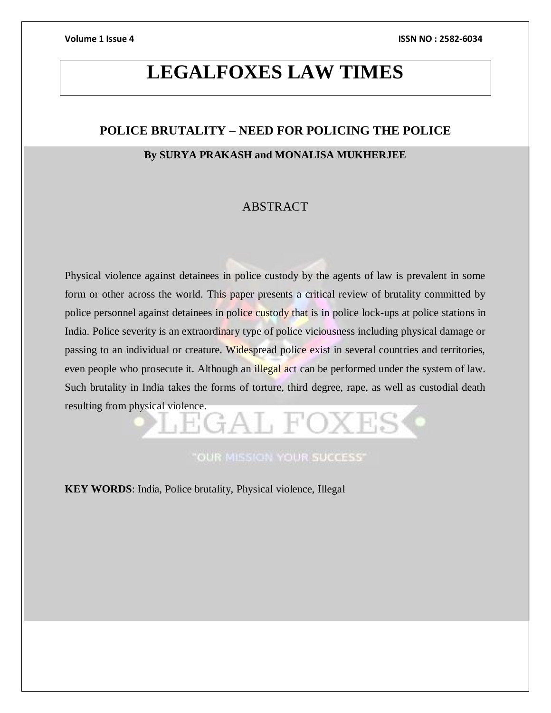# **LEGALFOXES LAW TIMES**

# **POLICE BRUTALITY – NEED FOR POLICING THE POLICE**

### **By SURYA PRAKASH and MONALISA MUKHERJEE**

## ABSTRACT

Physical violence against detainees in police custody by the agents of law is prevalent in some form or other across the world. This paper presents a critical review of brutality committed by police personnel against detainees in police custody that is in police lock-ups at police stations in India. Police severity is an extraordinary type of police viciousness including physical damage or passing to an individual or creature. Widespread police exist in several countries and territories, even people who prosecute it. Although an illegal act can be performed under the system of law. Such brutality in India takes the forms of torture, third degree, rape, as well as custodial death resulting from physical violence.

**"OUR MISSION YOUR SUCCESS"** 

GAT FO

**KEY WORDS**: India, Police brutality, Physical violence, Illegal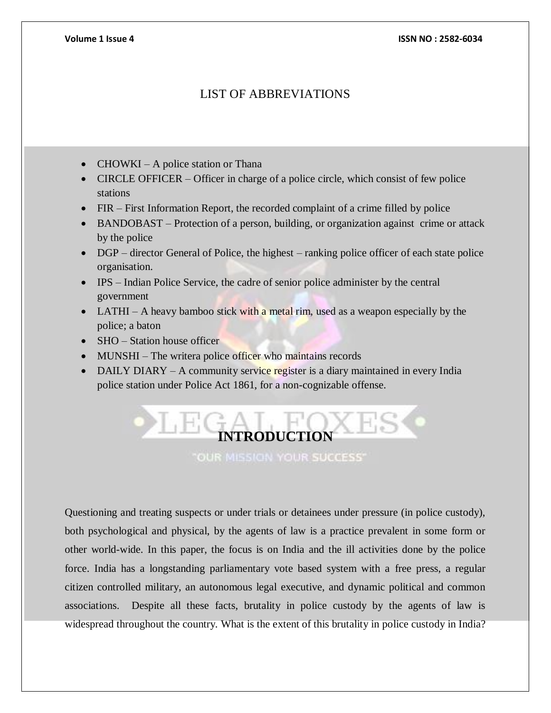## LIST OF ABBREVIATIONS

- CHOWKI A police station or Thana
- CIRCLE OFFICER Officer in charge of a police circle, which consist of few police stations
- FIR First Information Report, the recorded complaint of a crime filled by police
- BANDOBAST Protection of a person, building, or organization against crime or attack by the police
- DGP director General of Police, the highest ranking police officer of each state police organisation.
- IPS Indian Police Service, the cadre of senior police administer by the central government
- LATHI A heavy bamboo stick with a metal rim, used as a weapon especially by the police; a baton
- SHO Station house officer
- MUNSHI The writera police officer who maintains records
- DAILY DIARY A community service register is a diary maintained in every India police station under Police Act 1861, for a non-cognizable offense.



Questioning and treating suspects or under trials or detainees under pressure (in police custody), both psychological and physical, by the agents of law is a practice prevalent in some form or other world-wide. In this paper, the focus is on India and the ill activities done by the police force. India has a longstanding parliamentary vote based system with a free press, a regular citizen controlled military, an autonomous legal executive, and dynamic political and common associations. Despite all these facts, brutality in police custody by the agents of law is widespread throughout the country. What is the extent of this brutality in police custody in India?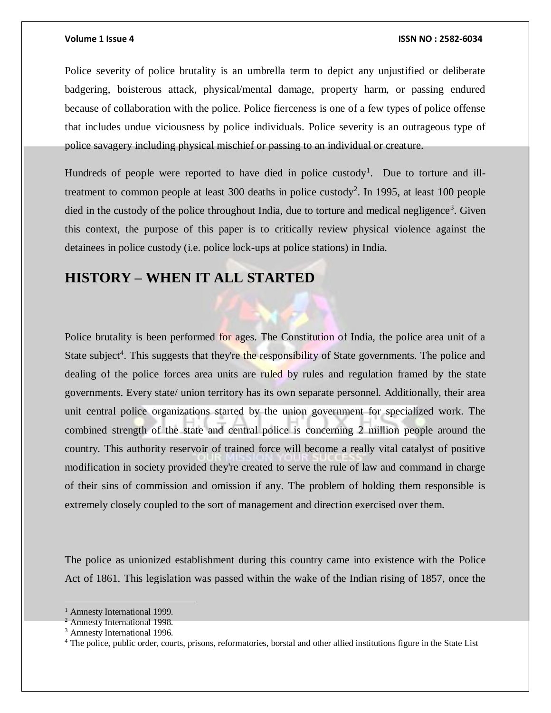Police severity of police brutality is an umbrella term to depict any unjustified or deliberate badgering, boisterous attack, physical/mental damage, property harm, or passing endured because of collaboration with the police. Police fierceness is one of a few types of police offense that includes undue viciousness by police individuals. Police severity is an outrageous type of police savagery including physical mischief or passing to an individual or creature.

Hundreds of people were reported to have died in police custody<sup>1</sup>. Due to torture and illtreatment to common people at least 300 deaths in police custody<sup>2</sup>. In 1995, at least 100 people died in the custody of the police throughout India, due to torture and medical negligence<sup>3</sup>. Given this context, the purpose of this paper is to critically review physical violence against the detainees in police custody (i.e. police lock-ups at police stations) in India.

# **HISTORY – WHEN IT ALL STARTED**

Police brutality is been performed for ages. The Constitution of India, the police area unit of a State subject<sup>4</sup>. This suggests that they're the responsibility of State governments. The police and dealing of the police forces area units are ruled by rules and regulation framed by the state governments. Every state/ union territory has its own separate personnel. Additionally, their area unit central police organizations started by the union government for specialized work. The combined strength of the state and central police is concerning 2 million people around the country. This authority reservoir of trained force will become a really vital catalyst of positive modification in society provided they're created to serve the rule of law and command in charge of their sins of commission and omission if any. The problem of holding them responsible is extremely closely coupled to the sort of management and direction exercised over them.

The police as unionized establishment during this country came into existence with the Police Act of 1861. This legislation was passed within the wake of the Indian rising of 1857, once the

<sup>&</sup>lt;sup>1</sup> Amnesty International 1999.

<sup>2</sup> Amnesty International 1998.

<sup>3</sup> Amnesty International 1996.

<sup>&</sup>lt;sup>4</sup> The police, public order, courts, prisons, reformatories, borstal and other allied institutions figure in the State List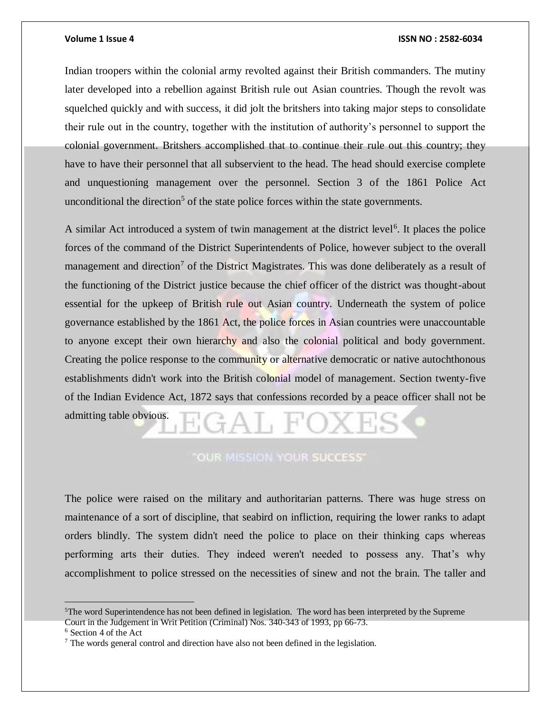Indian troopers within the colonial army revolted against their British commanders. The mutiny later developed into a rebellion against British rule out Asian countries. Though the revolt was squelched quickly and with success, it did jolt the britshers into taking major steps to consolidate their rule out in the country, together with the institution of authority's personnel to support the colonial government. Britshers accomplished that to continue their rule out this country; they have to have their personnel that all subservient to the head. The head should exercise complete and unquestioning management over the personnel. Section 3 of the 1861 Police Act unconditional the direction<sup>5</sup> of the state police forces within the state governments.

A similar Act introduced a system of twin management at the district level<sup>6</sup>. It places the police forces of the command of the District Superintendents of Police, however subject to the overall management and direction<sup>7</sup> of the District Magistrates. This was done deliberately as a result of the functioning of the District justice because the chief officer of the district was thought-about essential for the upkeep of British rule out Asian country. Underneath the system of police governance established by the 1861 Act, the police forces in Asian countries were unaccountable to anyone except their own hierarchy and also the colonial political and body government. Creating the police response to the community or alternative democratic or native autochthonous establishments didn't work into the British colonial model of management. Section twenty-five of the Indian Evidence Act, 1872 says that confessions recorded by a peace officer shall not be admitting table obvious.

### **"OUR MISSION YOUR SUCCESS"**

The police were raised on the military and authoritarian patterns. There was huge stress on maintenance of a sort of discipline, that seabird on infliction, requiring the lower ranks to adapt orders blindly. The system didn't need the police to place on their thinking caps whereas performing arts their duties. They indeed weren't needed to possess any. That's why accomplishment to police stressed on the necessities of sinew and not the brain. The taller and

 $5$ The word Superintendence has not been defined in legislation. The word has been interpreted by the Supreme Court in the Judgement in Writ Petition (Criminal) Nos. 340-343 of 1993, pp 66-73.

<sup>6</sup> Section 4 of the Act

<sup>7</sup> The words general control and direction have also not been defined in the legislation.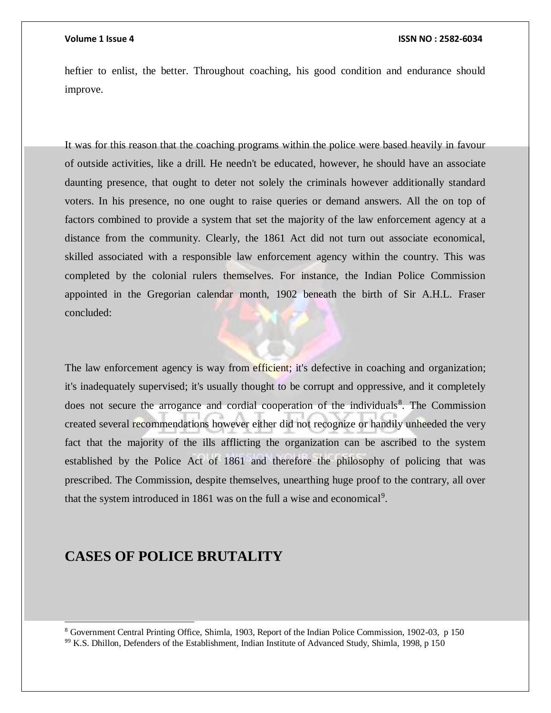heftier to enlist, the better. Throughout coaching, his good condition and endurance should improve.

It was for this reason that the coaching programs within the police were based heavily in favour of outside activities, like a drill. He needn't be educated, however, he should have an associate daunting presence, that ought to deter not solely the criminals however additionally standard voters. In his presence, no one ought to raise queries or demand answers. All the on top of factors combined to provide a system that set the majority of the law enforcement agency at a distance from the community. Clearly, the 1861 Act did not turn out associate economical, skilled associated with a responsible law enforcement agency within the country. This was completed by the colonial rulers themselves. For instance, the Indian Police Commission appointed in the Gregorian calendar month, 1902 beneath the birth of Sir A.H.L. Fraser concluded:

The law enforcement agency is way from efficient; it's defective in coaching and organization; it's inadequately supervised; it's usually thought to be corrupt and oppressive, and it completely does not secure the arrogance and cordial cooperation of the individuals<sup>8</sup>. The Commission created several recommendations however either did not recognize or handily unheeded the very fact that the majority of the ills afflicting the organization can be ascribed to the system established by the Police Act of 1861 and therefore the philosophy of policing that was prescribed. The Commission, despite themselves, unearthing huge proof to the contrary, all over that the system introduced in 1861 was on the full a wise and economical<sup>9</sup>.

# **CASES OF POLICE BRUTALITY**

l

<sup>8</sup> Government Central Printing Office, Shimla, 1903, Report of the Indian Police Commission, 1902-03, p 150 <sup>9</sup><sup>9</sup> K.S. Dhillon, Defenders of the Establishment, Indian Institute of Advanced Study, Shimla, 1998, p 150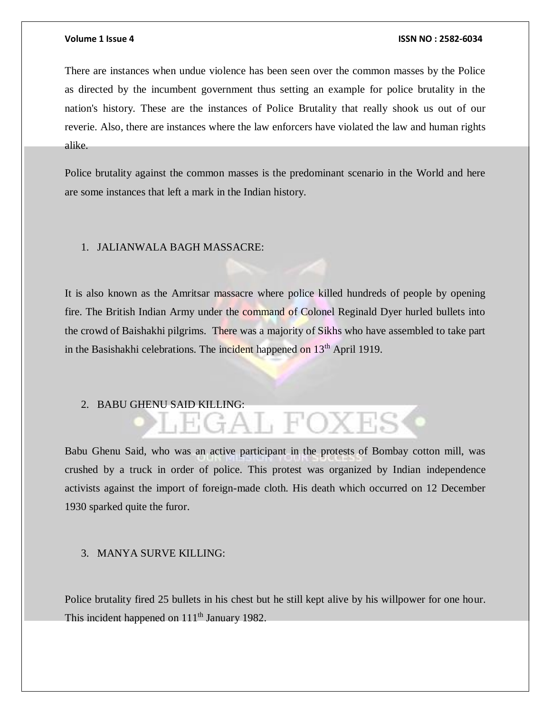There are instances when undue violence has been seen over the common masses by the Police as directed by the incumbent government thus setting an example for police brutality in the nation's history. These are the instances of Police Brutality that really shook us out of our reverie. Also, there are instances where the law enforcers have violated the law and human rights alike.

Police brutality against the common masses is the predominant scenario in the World and here are some instances that left a mark in the Indian history.

### 1. JALIANWALA BAGH MASSACRE:

It is also known as the Amritsar massacre where police killed hundreds of people by opening fire. The British Indian Army under the command of Colonel Reginald Dyer hurled bullets into the crowd of Baishakhi pilgrims. There was a majority of Sikhs who have assembled to take part in the Basishakhi celebrations. The incident happened on 13<sup>th</sup> April 1919.

# 2. BABU GHENU SAID KILLING:<br> $\begin{array}{c} \begin{array}{c} \hline \end{array} \end{array}$

Babu Ghenu Said, who was an active participant in the protests of Bombay cotton mill, was crushed by a truck in order of police. This protest was organized by Indian independence activists against the import of foreign-made cloth. His death which occurred on 12 December 1930 sparked quite the furor.

### 3. MANYA SURVE KILLING:

Police brutality fired 25 bullets in his chest but he still kept alive by his willpower for one hour. This incident happened on 111<sup>th</sup> January 1982.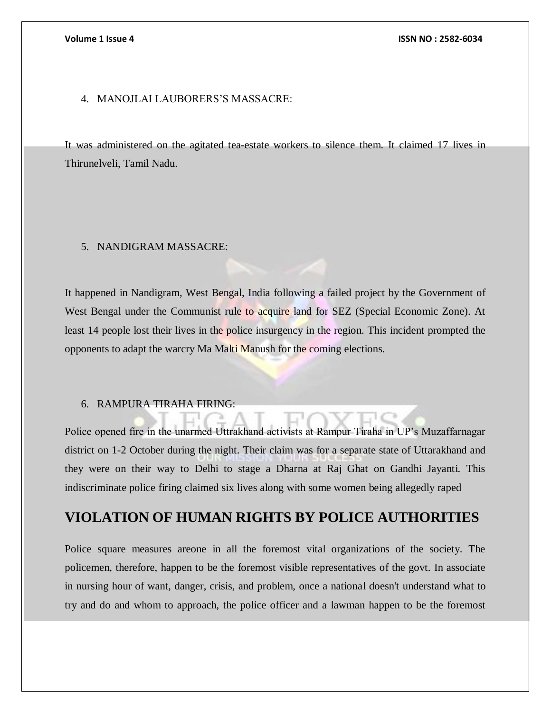### 4. MANOJLAI LAUBORERS'S MASSACRE:

It was administered on the agitated tea-estate workers to silence them. It claimed 17 lives in Thirunelveli, Tamil Nadu.

### 5. NANDIGRAM MASSACRE:

It happened in Nandigram, West Bengal, India following a failed project by the Government of West Bengal under the Communist rule to acquire land for SEZ (Special Economic Zone). At least 14 people lost their lives in the police insurgency in the region. This incident prompted the opponents to adapt the warcry Ma Malti Manush for the coming elections.

### 6. RAMPURA TIRAHA FIRING:

Police opened fire in the unarmed Uttrakhand activists at Rampur Tiraha in UP's Muzaffarnagar district on 1-2 October during the night. Their claim was for a separate state of Uttarakhand and they were on their way to Delhi to stage a Dharna at Raj Ghat on Gandhi Jayanti. This indiscriminate police firing claimed six lives along with some women being allegedly raped

# **VIOLATION OF HUMAN RIGHTS BY POLICE AUTHORITIES**

Police square measures areone in all the foremost vital organizations of the society. The policemen, therefore, happen to be the foremost visible representatives of the govt. In associate in nursing hour of want, danger, crisis, and problem, once a national doesn't understand what to try and do and whom to approach, the police officer and a lawman happen to be the foremost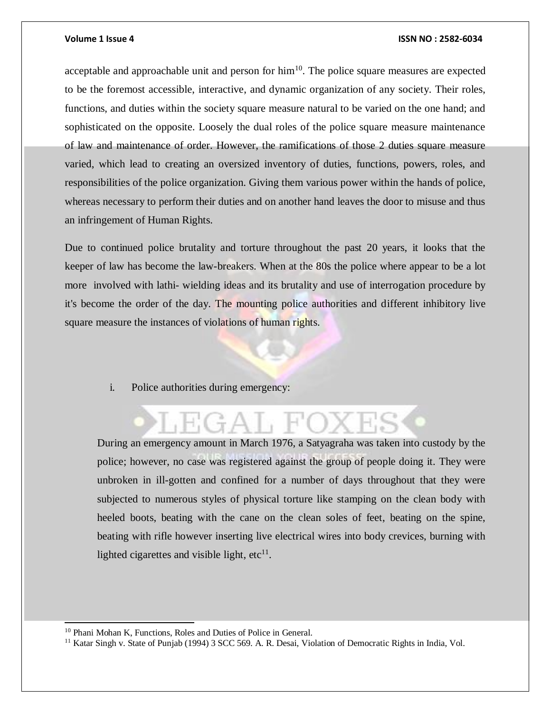acceptable and approachable unit and person for  $\lim^{10}$ . The police square measures are expected to be the foremost accessible, interactive, and dynamic organization of any society. Their roles, functions, and duties within the society square measure natural to be varied on the one hand; and sophisticated on the opposite. Loosely the dual roles of the police square measure maintenance of law and maintenance of order. However, the ramifications of those 2 duties square measure varied, which lead to creating an oversized inventory of duties, functions, powers, roles, and responsibilities of the police organization. Giving them various power within the hands of police, whereas necessary to perform their duties and on another hand leaves the door to misuse and thus an infringement of Human Rights.

Due to continued police brutality and torture throughout the past 20 years, it looks that the keeper of law has become the law-breakers. When at the 80s the police where appear to be a lot more involved with lathi- wielding ideas and its brutality and use of interrogation procedure by it's become the order of the day. The mounting police authorities and different inhibitory live square measure the instances of violations of human rights.

i. Police authorities during emergency:

During an emergency amount in March 1976, a Satyagraha was taken into custody by the police; however, no case was registered against the group of people doing it. They were unbroken in ill-gotten and confined for a number of days throughout that they were subjected to numerous styles of physical torture like stamping on the clean body with heeled boots, beating with the cane on the clean soles of feet, beating on the spine, beating with rifle however inserting live electrical wires into body crevices, burning with lighted cigarettes and visible light,  $etc<sup>11</sup>$ .

l

<sup>10</sup> Phani Mohan K, Functions, Roles and Duties of Police in General.

<sup>&</sup>lt;sup>11</sup> Katar Singh v. State of Punjab (1994) 3 SCC 569. A. R. Desai, Violation of Democratic Rights in India, Vol.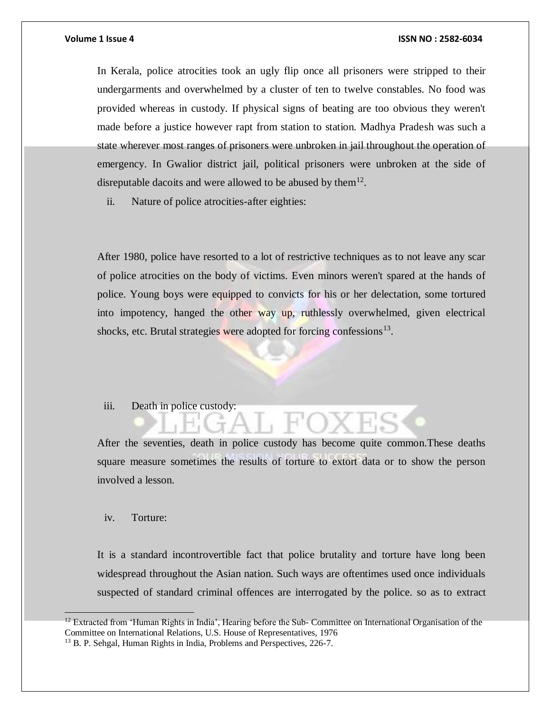In Kerala, police atrocities took an ugly flip once all prisoners were stripped to their undergarments and overwhelmed by a cluster of ten to twelve constables. No food was provided whereas in custody. If physical signs of beating are too obvious they weren't made before a justice however rapt from station to station. Madhya Pradesh was such a state wherever most ranges of prisoners were unbroken in jail throughout the operation of emergency. In Gwalior district jail, political prisoners were unbroken at the side of disreputable dacoits and were allowed to be abused by them $^{12}$ .

ii. Nature of police atrocities-after eighties:

After 1980, police have resorted to a lot of restrictive techniques as to not leave any scar of police atrocities on the body of victims. Even minors weren't spared at the hands of police. Young boys were equipped to convicts for his or her delectation, some tortured into impotency, hanged the other way up, ruthlessly overwhelmed, given electrical shocks, etc. Brutal strategies were adopted for forcing confessions<sup>13</sup>.

iii. Death in police custody:

After the seventies, death in police custody has become quite common.These deaths square measure sometimes the results of torture to extort data or to show the person involved a lesson.

### iv. Torture:

 $\overline{a}$ 

It is a standard incontrovertible fact that police brutality and torture have long been widespread throughout the Asian nation. Such ways are oftentimes used once individuals suspected of standard criminal offences are interrogated by the police. so as to extract

 $12$  Extracted from 'Human Rights in India', Hearing before the Sub- Committee on International Organisation of the Committee on International Relations, U.S. House of Representatives, 1976

<sup>13</sup> B. P. Sehgal, Human Rights in India, Problems and Perspectives, 226-7.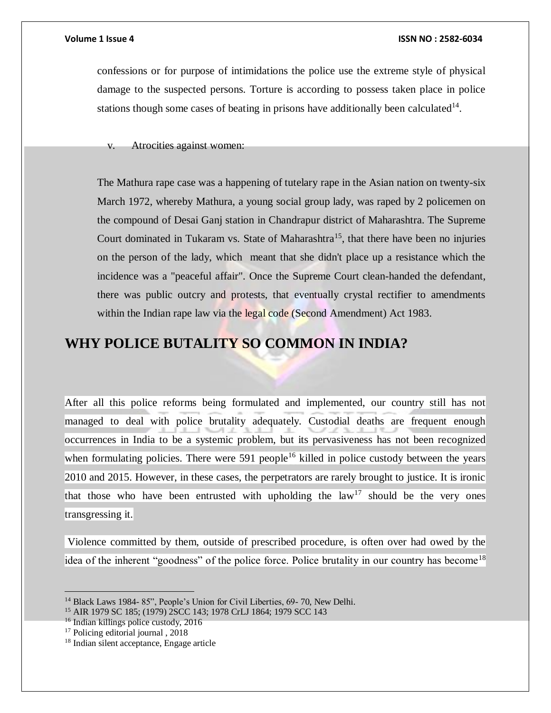confessions or for purpose of intimidations the police use the extreme style of physical damage to the suspected persons. Torture is according to possess taken place in police stations though some cases of beating in prisons have additionally been calculated $14$ .

v. Atrocities against women:

The Mathura rape case was a happening of tutelary rape in the Asian nation on twenty-six March 1972, whereby Mathura, a young social group lady, was raped by 2 policemen on the compound of Desai Ganj station in Chandrapur district of Maharashtra. The Supreme Court dominated in Tukaram vs. State of Maharashtra<sup>15</sup>, that there have been no injuries on the person of the lady, which meant that she didn't place up a resistance which the incidence was a "peaceful affair". Once the Supreme Court clean-handed the defendant, there was public outcry and protests, that eventually crystal rectifier to amendments within the Indian rape law via the legal code (Second Amendment) Act 1983.

# **WHY POLICE BUTALITY SO COMMON IN INDIA?**

After all this police reforms being formulated and implemented, our country still has not managed to deal with police brutality adequately. Custodial deaths are frequent enough occurrences in India to be a systemic problem, but its pervasiveness has not been recognized when formulating policies. There were 591 people<sup>16</sup> killed in police custody between the years 2010 and 2015. However, in these cases, the perpetrators are rarely brought to justice. It is ironic that those who have been entrusted with upholding the  $law<sup>17</sup>$  should be the very ones transgressing it.

Violence committed by them, outside of prescribed procedure, is often over had owed by the idea of the inherent "goodness" of the police force. Police brutality in our country has become<sup>18</sup>

 $\overline{a}$ 

<sup>&</sup>lt;sup>14</sup> Black Laws 1984- 85", People's Union for Civil Liberties, 69- 70, New Delhi.

<sup>15</sup> AIR 1979 SC 185; (1979) 2SCC 143; 1978 CrLJ 1864; 1979 SCC 143

<sup>&</sup>lt;sup>16</sup> Indian killings police custody, 2016

<sup>&</sup>lt;sup>17</sup> Policing editorial journal, 2018

<sup>18</sup> Indian silent acceptance, Engage article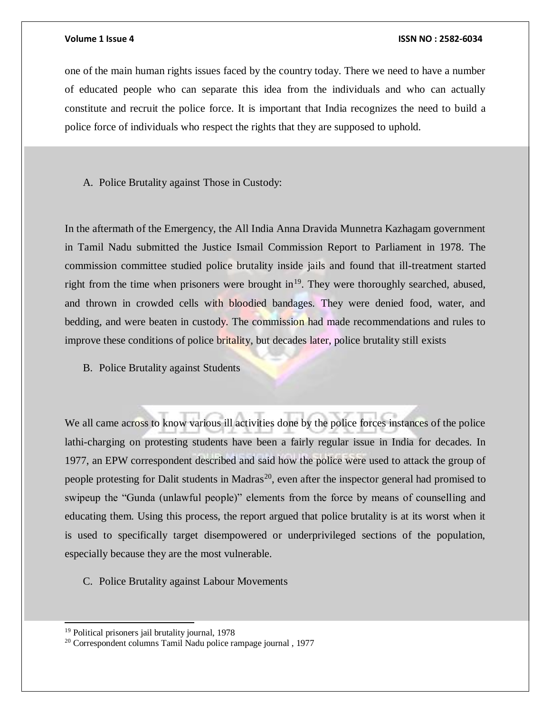one of the main human rights issues faced by the country today. There we need to have a number of educated people who can separate this idea from the individuals and who can actually constitute and recruit the police force. It is important that India recognizes the need to build a police force of individuals who respect the rights that they are supposed to uphold.

### A. Police Brutality against Those in Custody:

In the aftermath of the Emergency, the All India Anna Dravida Munnetra Kazhagam government in Tamil Nadu submitted the Justice Ismail Commission Report to Parliament in 1978. The commission committee studied police brutality inside jails and found that ill-treatment started right from the time when prisoners were brought in<sup>19</sup>. They were thoroughly searched, abused, and thrown in crowded cells with bloodied bandages. They were denied food, water, and bedding, and were beaten in custody. The commission had made recommendations and rules to improve these conditions of police britality, but decades later, police brutality still exists

B. Police Brutality against Students

We all came across to know various ill activities done by the police forces instances of the police lathi-charging on protesting students have been a fairly regular issue in India for decades. In 1977, an EPW correspondent described and said how the police were used to attack the group of people protesting for Dalit students in Madras<sup>20</sup>, even after the inspector general had promised to swipeup the "Gunda (unlawful people)" elements from the force by means of counselling and educating them. Using this process, the report argued that police brutality is at its worst when it is used to specifically target disempowered or underprivileged sections of the population, especially because they are the most vulnerable.

C. Police Brutality against Labour Movements

l

<sup>19</sup> Political prisoners jail brutality journal, 1978

<sup>20</sup> Correspondent columns Tamil Nadu police rampage journal , 1977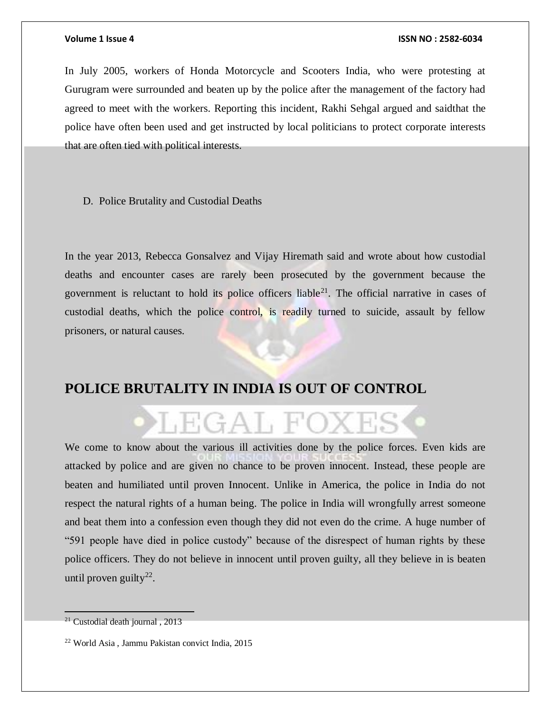In July 2005, workers of Honda Motorcycle and Scooters India, who were protesting at Gurugram were surrounded and beaten up by the police after the management of the factory had agreed to meet with the workers. Reporting this incident, Rakhi Sehgal argued and saidthat the police have often been used and get instructed by local politicians to protect corporate interests that are often tied with political interests.

D. Police Brutality and Custodial Deaths

In the year 2013, Rebecca Gonsalvez and Vijay Hiremath said and wrote about how custodial deaths and encounter cases are rarely been prosecuted by the government because the government is reluctant to hold its police officers liable<sup>21</sup>. The official narrative in cases of custodial deaths, which the police control, is readily turned to suicide, assault by fellow prisoners, or natural causes.

# **POLICE BRUTALITY IN INDIA IS OUT OF CONTROL**

# JEGAL FC

We come to know about the various ill activities done by the police forces. Even kids are attacked by police and are given no chance to be proven innocent. Instead, these people are beaten and humiliated until proven Innocent. Unlike in America, the police in India do not respect the natural rights of a human being. The police in India will wrongfully arrest someone and beat them into a confession even though they did not even do the crime. A huge number of "591 people have died in police custody" because of the disrespect of human rights by these police officers. They do not believe in innocent until proven guilty, all they believe in is beaten until proven guilty<sup>22</sup>.

 $\overline{a}$ 

<sup>&</sup>lt;sup>21</sup> Custodial death journal, 2013

<sup>22</sup> World Asia , Jammu Pakistan convict India, 2015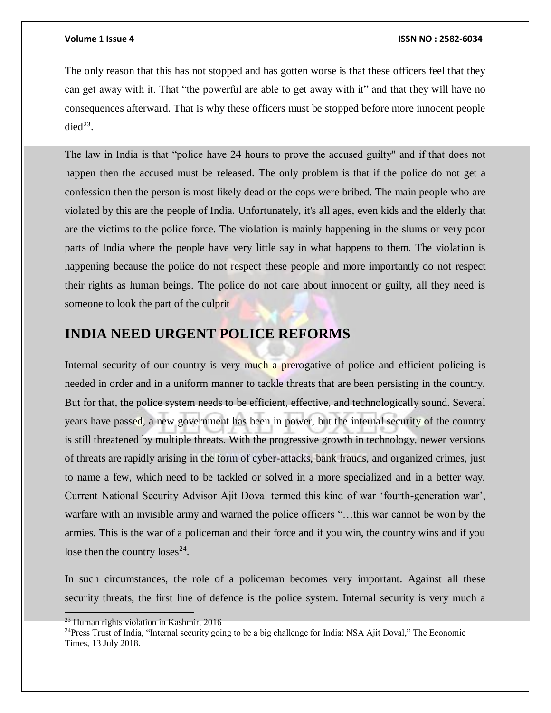The only reason that this has not stopped and has gotten worse is that these officers feel that they can get away with it. That "the powerful are able to get away with it" and that they will have no consequences afterward. That is why these officers must be stopped before more innocent people die $d^{23}$ .

The law in India is that "police have 24 hours to prove the accused guilty" and if that does not happen then the accused must be released. The only problem is that if the police do not get a confession then the person is most likely dead or the cops were bribed. The main people who are violated by this are the people of India. Unfortunately, it's all ages, even kids and the elderly that are the victims to the police force. The violation is mainly happening in the slums or very poor parts of India where the people have very little say in what happens to them. The violation is happening because the police do not respect these people and more importantly do not respect their rights as human beings. The police do not care about innocent or guilty, all they need is someone to look the part of the culprit

# **INDIA NEED URGENT POLICE REFORMS**

Internal security of our country is very much a prerogative of police and efficient policing is needed in order and in a uniform manner to tackle threats that are been persisting in the country. But for that, the police system needs to be efficient, effective, and technologically sound. Several years have passed, a new government has been in power, but the internal security of the country is still threatened by multiple threats. With the progressive growth in technology, newer versions of threats are rapidly arising in the form of cyber-attacks, bank frauds, and organized crimes, just to name a few, which need to be tackled or solved in a more specialized and in a better way. Current National Security Advisor Ajit Doval termed this kind of war 'fourth-generation war', warfare with an invisible army and warned the police officers "…this war cannot be won by the armies. This is the war of a policeman and their force and if you win, the country wins and if you lose then the country  $loss^{24}$ .

In such circumstances, the role of a policeman becomes very important. Against all these security threats, the first line of defence is the police system. Internal security is very much a

 $\overline{a}$ 

 $23$  Human rights violation in Kashmir, 2016

<sup>&</sup>lt;sup>24</sup>Press Trust of India, "Internal security going to be a big challenge for India: NSA Ajit Doval," The Economic Times, 13 July 2018.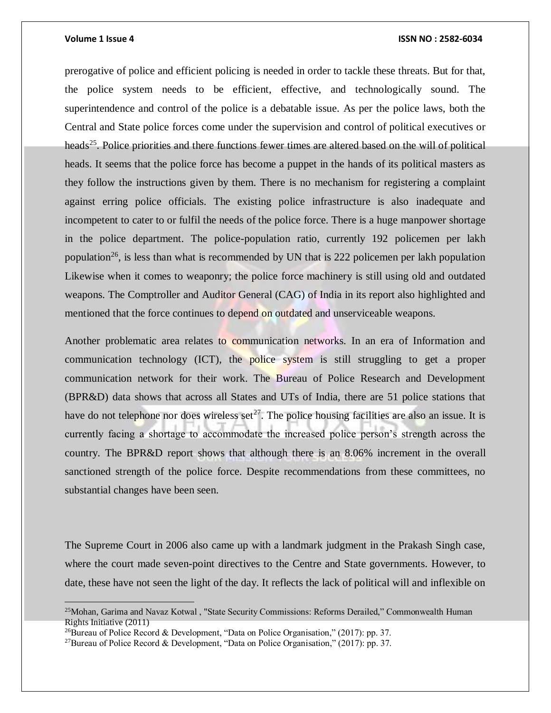$\overline{a}$ 

### **Volume 1 Issue 4 ISSN NO : 2582-6034**

prerogative of police and efficient policing is needed in order to tackle these threats. But for that, the police system needs to be efficient, effective, and technologically sound. The superintendence and control of the police is a debatable issue. As per the police laws, both the Central and State police forces come under the supervision and control of political executives or heads<sup>25</sup>. Police priorities and there functions fewer times are altered based on the will of political heads. It seems that the police force has become a puppet in the hands of its political masters as they follow the instructions given by them. There is no mechanism for registering a complaint against erring police officials. The existing police infrastructure is also inadequate and incompetent to cater to or fulfil the needs of the police force. There is a huge manpower shortage in the police department. The police-population ratio, currently 192 policemen per lakh population<sup>26</sup>, is less than what is recommended by UN that is 222 policemen per lakh population Likewise when it comes to weaponry; the police force machinery is still using old and outdated weapons. The Comptroller and Auditor General (CAG) of India in its report also highlighted and mentioned that the force continues to depend on outdated and unserviceable weapons.

Another problematic area relates to communication networks. In an era of Information and communication technology (ICT), the police system is still struggling to get a proper communication network for their work. The Bureau of Police Research and Development (BPR&D) data shows that across all States and UTs of India, there are 51 police stations that have do not telephone nor does wireless set<sup>27</sup>. The police housing facilities are also an issue. It is currently facing a shortage to accommodate the increased police person's strength across the country. The BPR&D report shows that although there is an 8.06% increment in the overall sanctioned strength of the police force. Despite recommendations from these committees, no substantial changes have been seen.

The Supreme Court in 2006 also came up with a landmark judgment in the Prakash Singh case, where the court made seven-point directives to the Centre and State governments. However, to date, these have not seen the light of the day. It reflects the lack of political will and inflexible on

<sup>&</sup>lt;sup>25</sup>Mohan, Garima and Navaz Kotwal, "State Security Commissions: Reforms Derailed," Commonwealth Human Rights Initiative (2011)

<sup>&</sup>lt;sup>26</sup>Bureau of Police Record & Development, "Data on Police Organisation," (2017): pp. 37.

<sup>27</sup>Bureau of Police Record & Development, "Data on Police Organisation," (2017): pp. 37.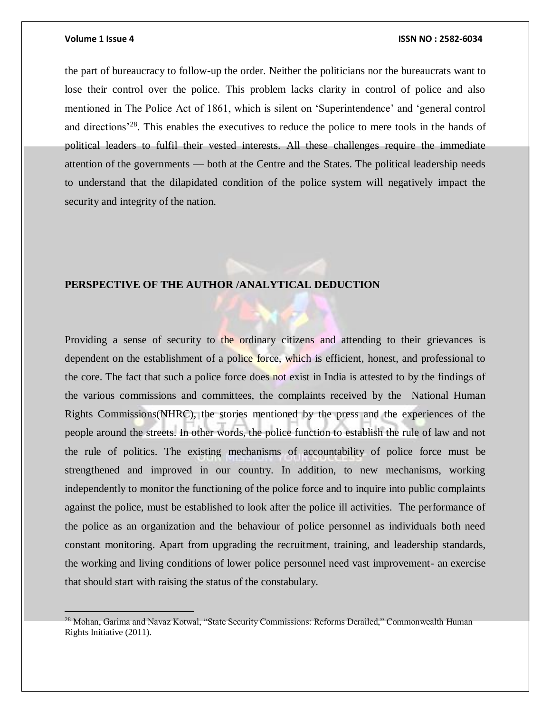$\overline{a}$ 

#### **Volume 1 Issue 4 ISSN NO : 2582-6034**

the part of bureaucracy to follow-up the order. Neither the politicians nor the bureaucrats want to lose their control over the police. This problem lacks clarity in control of police and also mentioned in The Police Act of 1861, which is silent on 'Superintendence' and 'general control and directions<sup>'28</sup>. This enables the executives to reduce the police to mere tools in the hands of political leaders to fulfil their vested interests. All these challenges require the immediate attention of the governments — both at the Centre and the States. The political leadership needs to understand that the dilapidated condition of the police system will negatively impact the security and integrity of the nation.

### **PERSPECTIVE OF THE AUTHOR /ANALYTICAL DEDUCTION**

Providing a sense of security to the ordinary citizens and attending to their grievances is dependent on the establishment of a police force, which is efficient, honest, and professional to the core. The fact that such a police force does not exist in India is attested to by the findings of the various commissions and committees, the complaints received by the National Human Rights Commissions(NHRC), the stories mentioned by the press and the experiences of the people around the streets. In other words, the police function to establish the rule of law and not the rule of politics. The existing mechanisms of accountability of police force must be strengthened and improved in our country. In addition, to new mechanisms, working independently to monitor the functioning of the police force and to inquire into public complaints against the police, must be established to look after the police ill activities. The performance of the police as an organization and the behaviour of police personnel as individuals both need constant monitoring. Apart from upgrading the recruitment, training, and leadership standards, the working and living conditions of lower police personnel need vast improvement- an exercise that should start with raising the status of the constabulary.

<sup>&</sup>lt;sup>28</sup> Mohan, Garima and Navaz Kotwal, "State Security Commissions: Reforms Derailed," Commonwealth Human Rights Initiative (2011).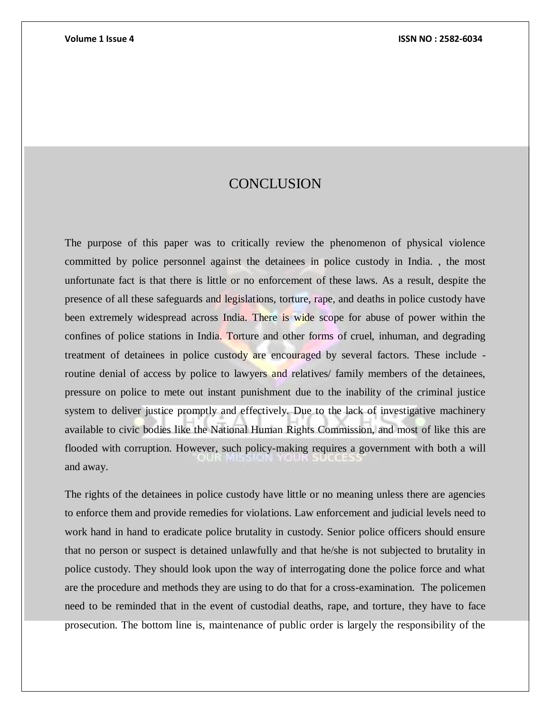# **CONCLUSION**

The purpose of this paper was to critically review the phenomenon of physical violence committed by police personnel against the detainees in police custody in India. , the most unfortunate fact is that there is little or no enforcement of these laws. As a result, despite the presence of all these safeguards and legislations, torture, rape, and deaths in police custody have been extremely widespread across India. There is wide scope for abuse of power within the confines of police stations in India. Torture and other forms of cruel, inhuman, and degrading treatment of detainees in police custody are encouraged by several factors. These include routine denial of access by police to lawyers and relatives/ family members of the detainees, pressure on police to mete out instant punishment due to the inability of the criminal justice system to deliver justice promptly and effectively. Due to the lack of investigative machinery available to civic bodies like the National Human Rights Commission, and most of like this are flooded with corruption. However, such policy-making requires a government with both a will and away.

The rights of the detainees in police custody have little or no meaning unless there are agencies to enforce them and provide remedies for violations. Law enforcement and judicial levels need to work hand in hand to eradicate police brutality in custody. Senior police officers should ensure that no person or suspect is detained unlawfully and that he/she is not subjected to brutality in police custody. They should look upon the way of interrogating done the police force and what are the procedure and methods they are using to do that for a cross-examination. The policemen need to be reminded that in the event of custodial deaths, rape, and torture, they have to face prosecution. The bottom line is, maintenance of public order is largely the responsibility of the